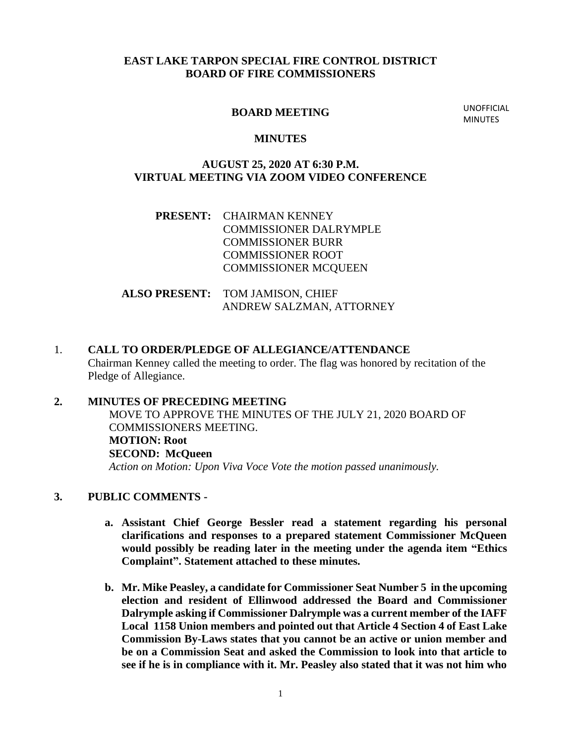## **EAST LAKE TARPON SPECIAL FIRE CONTROL DISTRICT BOARD OF FIRE COMMISSIONERS**

#### **BOARD MEETING**

UNOFFICIAL **MINUTES** 

#### **MINUTES**

## **AUGUST 25, 2020 AT 6:30 P.M. VIRTUAL MEETING VIA ZOOM VIDEO CONFERENCE**

# **PRESENT:** CHAIRMAN KENNEY COMMISSIONER DALRYMPLE COMMISSIONER BURR COMMISSIONER ROOT COMMISSIONER MCQUEEN

## **ALSO PRESENT:** TOM JAMISON, CHIEF ANDREW SALZMAN, ATTORNEY

1. **CALL TO ORDER/PLEDGE OF ALLEGIANCE/ATTENDANCE** Chairman Kenney called the meeting to order. The flag was honored by recitation of the Pledge of Allegiance.

# **2. MINUTES OF PRECEDING MEETING**

MOVE TO APPROVE THE MINUTES OF THE JULY 21, 2020 BOARD OF COMMISSIONERS MEETING. **MOTION: Root SECOND: McQueen** *Action on Motion: Upon Viva Voce Vote the motion passed unanimously.*

# **3. PUBLIC COMMENTS -**

- **a. Assistant Chief George Bessler read a statement regarding his personal clarifications and responses to a prepared statement Commissioner McQueen would possibly be reading later in the meeting under the agenda item "Ethics Complaint". Statement attached to these minutes.**
- **b. Mr. Mike Peasley, a candidate for Commissioner Seat Number 5 in the upcoming election and resident of Ellinwood addressed the Board and Commissioner Dalrymple asking if Commissioner Dalrymple was a current member of the IAFF Local 1158 Union members and pointed out that Article 4 Section 4 of East Lake Commission By-Laws states that you cannot be an active or union member and be on a Commission Seat and asked the Commission to look into that article to see if he is in compliance with it. Mr. Peasley also stated that it was not him who**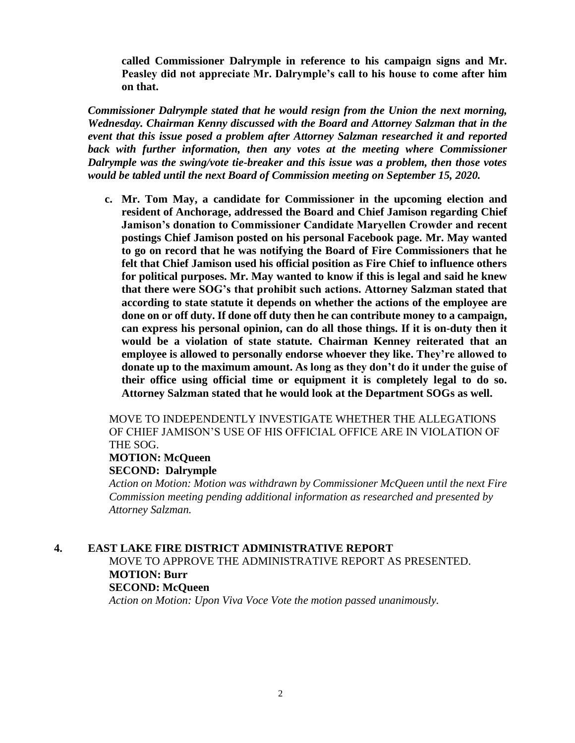**called Commissioner Dalrymple in reference to his campaign signs and Mr. Peasley did not appreciate Mr. Dalrymple's call to his house to come after him on that.** 

*Commissioner Dalrymple stated that he would resign from the Union the next morning, Wednesday. Chairman Kenny discussed with the Board and Attorney Salzman that in the event that this issue posed a problem after Attorney Salzman researched it and reported*  back with further information, then any votes at the meeting where Commissioner *Dalrymple was the swing/vote tie-breaker and this issue was a problem, then those votes would be tabled until the next Board of Commission meeting on September 15, 2020.*

**c. Mr. Tom May, a candidate for Commissioner in the upcoming election and resident of Anchorage, addressed the Board and Chief Jamison regarding Chief Jamison's donation to Commissioner Candidate Maryellen Crowder and recent postings Chief Jamison posted on his personal Facebook page. Mr. May wanted to go on record that he was notifying the Board of Fire Commissioners that he felt that Chief Jamison used his official position as Fire Chief to influence others for political purposes. Mr. May wanted to know if this is legal and said he knew that there were SOG's that prohibit such actions. Attorney Salzman stated that according to state statute it depends on whether the actions of the employee are done on or off duty. If done off duty then he can contribute money to a campaign, can express his personal opinion, can do all those things. If it is on-duty then it would be a violation of state statute. Chairman Kenney reiterated that an employee is allowed to personally endorse whoever they like. They're allowed to donate up to the maximum amount. As long as they don't do it under the guise of their office using official time or equipment it is completely legal to do so. Attorney Salzman stated that he would look at the Department SOGs as well.**

MOVE TO INDEPENDENTLY INVESTIGATE WHETHER THE ALLEGATIONS OF CHIEF JAMISON'S USE OF HIS OFFICIAL OFFICE ARE IN VIOLATION OF THE SOG.

#### **MOTION: McQueen SECOND: Dalrymple**

*Action on Motion: Motion was withdrawn by Commissioner McQueen until the next Fire Commission meeting pending additional information as researched and presented by Attorney Salzman.*

## **4. EAST LAKE FIRE DISTRICT ADMINISTRATIVE REPORT**

# MOVE TO APPROVE THE ADMINISTRATIVE REPORT AS PRESENTED. **MOTION: Burr SECOND: McQueen**

*Action on Motion: Upon Viva Voce Vote the motion passed unanimously.*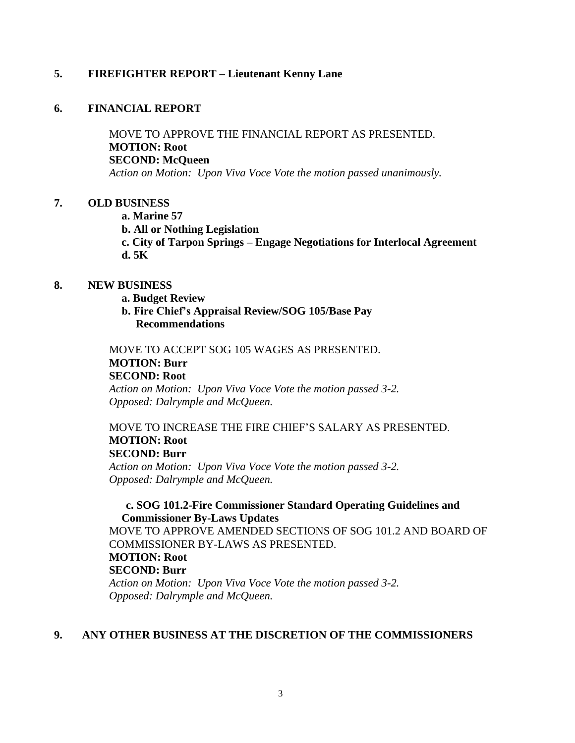## **5. FIREFIGHTER REPORT – Lieutenant Kenny Lane**

#### **6. FINANCIAL REPORT**

MOVE TO APPROVE THE FINANCIAL REPORT AS PRESENTED. **MOTION: Root SECOND: McQueen** *Action on Motion: Upon Viva Voce Vote the motion passed unanimously.*

# **7. OLD BUSINESS**

**a. Marine 57**

**b. All or Nothing Legislation** 

**c. City of Tarpon Springs – Engage Negotiations for Interlocal Agreement d. 5K**

#### **8. NEW BUSINESS**

- **a. Budget Review**
- **b. Fire Chief's Appraisal Review/SOG 105/Base Pay Recommendations**

MOVE TO ACCEPT SOG 105 WAGES AS PRESENTED. **MOTION: Burr SECOND: Root** *Action on Motion: Upon Viva Voce Vote the motion passed 3-2.*

*Opposed: Dalrymple and McQueen.*

# MOVE TO INCREASE THE FIRE CHIEF'S SALARY AS PRESENTED. **MOTION: Root SECOND: Burr** *Action on Motion: Upon Viva Voce Vote the motion passed 3-2.*

*Opposed: Dalrymple and McQueen.*

# **c. SOG 101.2-Fire Commissioner Standard Operating Guidelines and Commissioner By-Laws Updates**

MOVE TO APPROVE AMENDED SECTIONS OF SOG 101.2 AND BOARD OF COMMISSIONER BY-LAWS AS PRESENTED. **MOTION: Root SECOND: Burr** *Action on Motion: Upon Viva Voce Vote the motion passed 3-2. Opposed: Dalrymple and McQueen.*

# **9. ANY OTHER BUSINESS AT THE DISCRETION OF THE COMMISSIONERS**